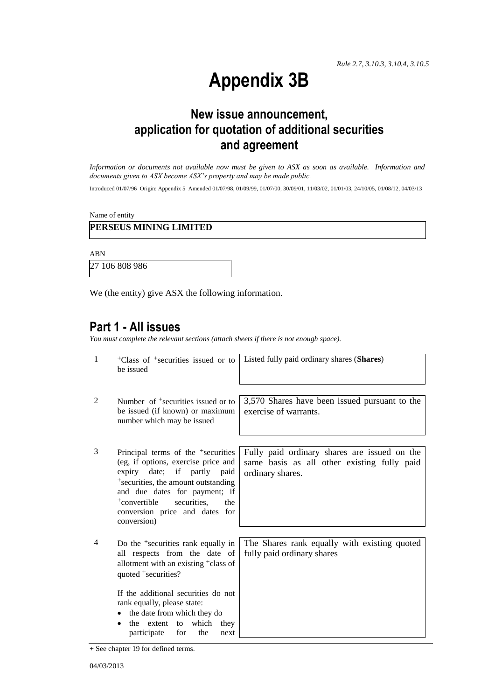# **Appendix 3B**

### **New issue announcement, application for quotation of additional securities and agreement**

*Information or documents not available now must be given to ASX as soon as available. Information and documents given to ASX become ASX's property and may be made public.*

Introduced 01/07/96 Origin: Appendix 5 Amended 01/07/98, 01/09/99, 01/07/00, 30/09/01, 11/03/02, 01/01/03, 24/10/05, 01/08/12, 04/03/13

Name of entity

#### **PERSEUS MINING LIMITED**

ABN

27 106 808 986

We (the entity) give ASX the following information.

### **Part 1 - All issues**

*You must complete the relevant sections (attach sheets if there is not enough space).*

| $\mathbf{1}$   | <sup>+</sup> Class of <sup>+</sup> securities issued or to<br>be issued                                                                                                                                                                                                                                     | Listed fully paid ordinary shares (Shares)                                                                      |
|----------------|-------------------------------------------------------------------------------------------------------------------------------------------------------------------------------------------------------------------------------------------------------------------------------------------------------------|-----------------------------------------------------------------------------------------------------------------|
| 2              | Number of <sup>+</sup> securities issued or to<br>be issued (if known) or maximum<br>number which may be issued                                                                                                                                                                                             | 3,570 Shares have been issued pursuant to the<br>exercise of warrants.                                          |
| 3              | Principal terms of the <sup>+</sup> securities<br>(eg, if options, exercise price and<br>expiry date; if partly paid<br><sup>+</sup> securities, the amount outstanding<br>and due dates for payment; if<br><sup>+</sup> convertible<br>securities.<br>the<br>conversion price and dates for<br>conversion) | Fully paid ordinary shares are issued on the<br>same basis as all other existing fully paid<br>ordinary shares. |
| $\overline{4}$ | Do the <sup>+</sup> securities rank equally in<br>all respects from the date of<br>allotment with an existing <sup>+</sup> class of<br>quoted +securities?                                                                                                                                                  | The Shares rank equally with existing quoted<br>fully paid ordinary shares                                      |
|                | If the additional securities do not<br>rank equally, please state:<br>the date from which they do<br>the extent to which<br>they<br>the<br>participate<br>for<br>next                                                                                                                                       |                                                                                                                 |

+ See chapter 19 for defined terms.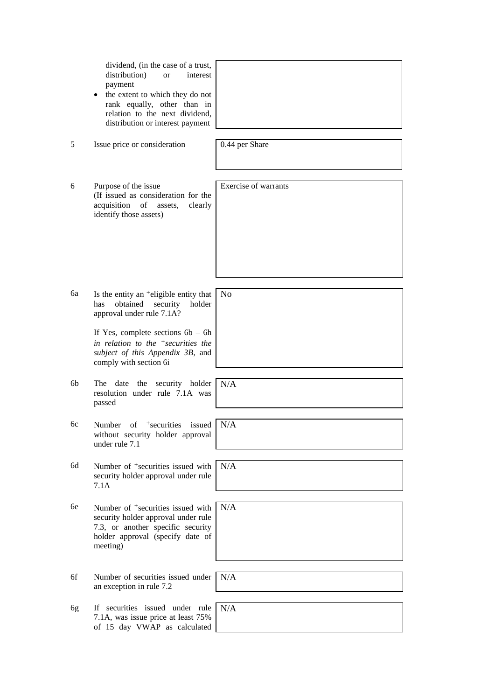|    | dividend, (in the case of a trust,<br>distribution)<br>interest<br><sub>or</sub><br>payment<br>the extent to which they do not<br>٠<br>rank equally, other than in<br>relation to the next dividend,<br>distribution or interest payment |                      |
|----|------------------------------------------------------------------------------------------------------------------------------------------------------------------------------------------------------------------------------------------|----------------------|
| 5  | Issue price or consideration                                                                                                                                                                                                             | 0.44 per Share       |
| 6  | Purpose of the issue<br>(If issued as consideration for the<br>acquisition of<br>assets,<br>clearly<br>identify those assets)                                                                                                            | Exercise of warrants |
| 6a | Is the entity an <sup>+</sup> eligible entity that<br>obtained<br>security<br>holder<br>has<br>approval under rule 7.1A?                                                                                                                 | N <sub>0</sub>       |
|    | If Yes, complete sections $6b - 6h$<br>in relation to the $+$ securities the<br>subject of this Appendix 3B, and<br>comply with section 6i                                                                                               |                      |
| 6b | The date the security holder<br>resolution under rule 7.1A was<br>passed                                                                                                                                                                 | N/A                  |
| 6c | of <sup>+</sup> securities issued<br>Number<br>without security holder approval<br>under rule 7.1                                                                                                                                        | N/A                  |
| 6d | Number of <sup>+</sup> securities issued with<br>security holder approval under rule<br>7.1A                                                                                                                                             | N/A                  |
| 6e | Number of <sup>+</sup> securities issued with<br>security holder approval under rule<br>7.3, or another specific security<br>holder approval (specify date of<br>meeting)                                                                | N/A                  |
| 6f | Number of securities issued under<br>an exception in rule 7.2                                                                                                                                                                            | N/A                  |
| 6g | If securities issued under rule<br>7.1A, was issue price at least 75%<br>of 15 day VWAP as calculated                                                                                                                                    | N/A                  |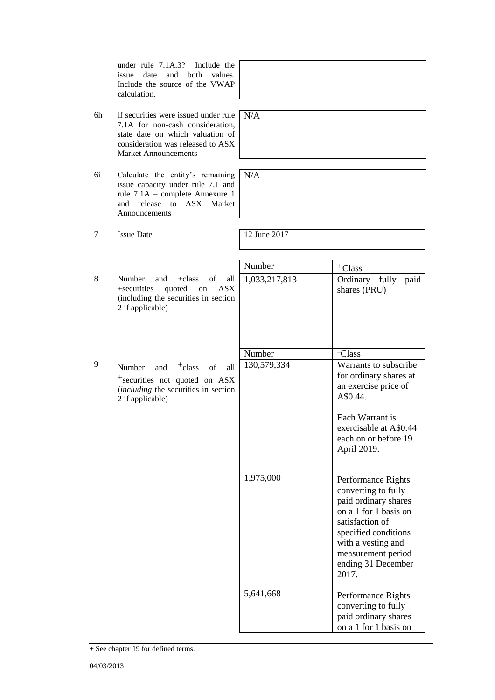under rule 7.1A.3? Include the issue date and both values. Include the source of the VWAP calculation.

- 6h If securities were issued under rule 7.1A for non-cash consideration, state date on which valuation of consideration was released to ASX Market Announcements
- 6i Calculate the entity's remaining issue capacity under rule 7.1 and rule 7.1A – complete Annexure 1 and release to ASX Market Announcements
	-
- 
- 8 Number and +class of +securities quoted on  $(including the securities in se$ 2 if applicable)
- 9 Number and  $\text{+class}$  of  $+$ securities not quoted on (*including* the securities in section 2 if applicable)

N/A

N/A

7 Issue Date 12 June 2017

|                                  | $\overline{\text{Number}}$ | +Class                                                                                                                                                                                                           |
|----------------------------------|----------------------------|------------------------------------------------------------------------------------------------------------------------------------------------------------------------------------------------------------------|
| Ê<br>all<br><b>ASX</b><br>ection | 1,033,217,813              | fully<br>paid<br>Ordinary<br>shares (PRU)                                                                                                                                                                        |
|                                  | Number                     | <sup>+</sup> Class                                                                                                                                                                                               |
| f<br>all<br><b>ASX</b><br>ection | 130,579,334                | Warrants to subscribe<br>for ordinary shares at<br>an exercise price of<br>A\$0.44.                                                                                                                              |
|                                  |                            | Each Warrant is<br>exercisable at A\$0.44<br>each on or before 19<br>April 2019.                                                                                                                                 |
|                                  | 1,975,000                  | Performance Rights<br>converting to fully<br>paid ordinary shares<br>on a 1 for 1 basis on<br>satisfaction of<br>specified conditions<br>with a vesting and<br>measurement period<br>ending 31 December<br>2017. |
|                                  | 5,641,668                  | Performance Rights<br>converting to fully<br>paid ordinary shares<br>on a 1 for 1 basis on                                                                                                                       |

<sup>+</sup> See chapter 19 for defined terms.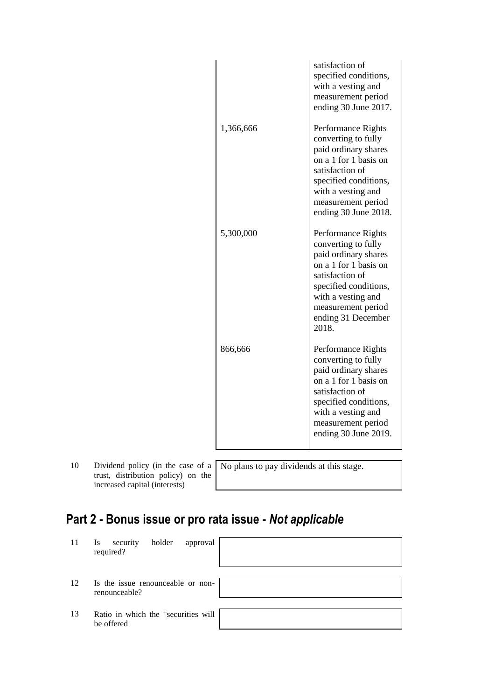|           | satisfaction of<br>specified conditions,<br>with a vesting and<br>measurement period<br>ending 30 June 2017.                                                                                                      |
|-----------|-------------------------------------------------------------------------------------------------------------------------------------------------------------------------------------------------------------------|
| 1,366,666 | Performance Rights<br>converting to fully<br>paid ordinary shares<br>on a 1 for 1 basis on<br>satisfaction of<br>specified conditions,<br>with a vesting and<br>measurement period<br>ending 30 June 2018.        |
| 5,300,000 | Performance Rights<br>converting to fully<br>paid ordinary shares<br>on a 1 for 1 basis on<br>satisfaction of<br>specified conditions,<br>with a vesting and<br>measurement period<br>ending 31 December<br>2018. |
| 866,666   | Performance Rights<br>converting to fully<br>paid ordinary shares<br>on a 1 for 1 basis on<br>satisfaction of<br>specified conditions,<br>with a vesting and<br>measurement period<br>ending 30 June 2019.        |

10 Dividend policy (in the case of a trust, distribution policy) on the increased capital (interests)

No plans to pay dividends at this stage.

# **Part 2 - Bonus issue or pro rata issue -** *Not applicable*

| 11 | holder<br>security<br>approval<br><b>Is</b><br>required?      |  |
|----|---------------------------------------------------------------|--|
| 12 | Is the issue renounceable or non-<br>renounceable?            |  |
| 13 | Ratio in which the <sup>+</sup> securities will<br>be offered |  |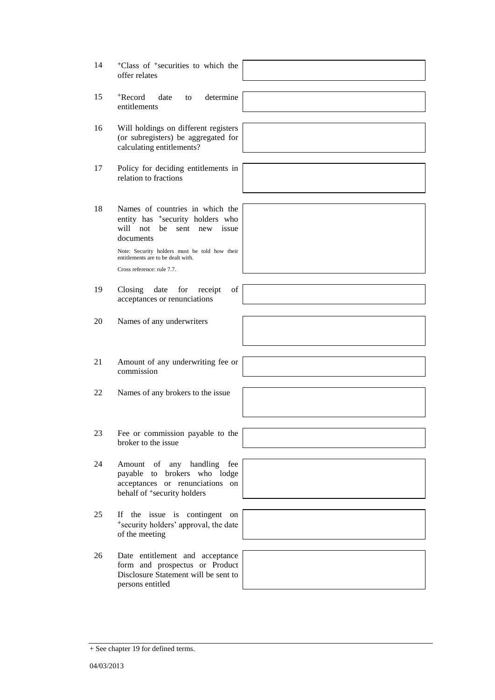|    | offer relates                                                                                            |  |
|----|----------------------------------------------------------------------------------------------------------|--|
| 15 | to determine<br><sup>+</sup> Record<br>date<br>entitlements                                              |  |
| 16 | Will holdings on different registers<br>(or subregisters) be aggregated for<br>calculating entitlements? |  |

17 Policy for deciding entitlements in relation to fractions

18 Names of countries in which the entity has <sup>+</sup>security holders who will not be sent new issue documents

> Note: Security holders must be told how their entitlements are to be dealt with. Cross reference: rule 7.7.

19 Closing date for receipt of

- acceptances or renunciations
- 20 Names of any underwriters
- 21 Amount of any underwriting fee or commission
- 22 Names of any brokers to the issue
- 23 Fee or commission payable to the broker to the issue
- 24 Amount of any handling fee payable to brokers who lodge acceptances or renunciations on behalf of <sup>+</sup>security holders
- 25 If the issue is contingent on <sup>+</sup>security holders' approval, the date of the meeting
- 26 Date entitlement and acceptance form and prospectus or Product Disclosure Statement will be sent to persons entitled



+ See chapter 19 for defined terms.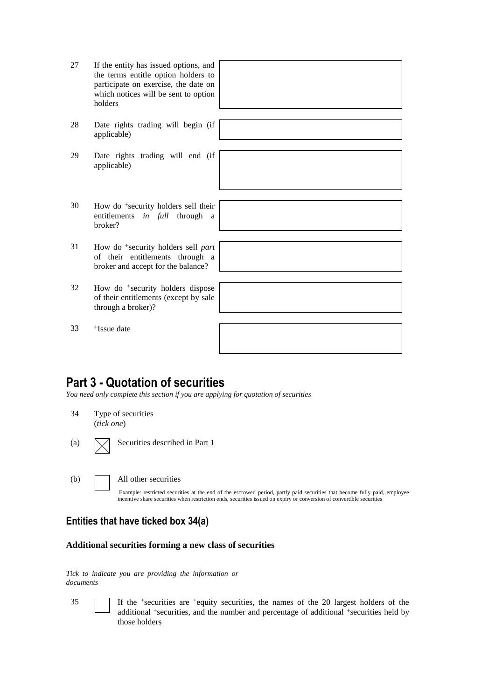| 27 | If the entity has issued options, and<br>the terms entitle option holders to<br>participate on exercise, the date on<br>which notices will be sent to option<br>holders |  |
|----|-------------------------------------------------------------------------------------------------------------------------------------------------------------------------|--|
| 28 | Date rights trading will begin (if<br>applicable)                                                                                                                       |  |
| 29 | Date rights trading will end (if<br>applicable)                                                                                                                         |  |
| 30 | How do <sup>+</sup> security holders sell their<br>entitlements in full<br>through<br>a<br>broker?                                                                      |  |
| 31 | How do <sup>+</sup> security holders sell part<br>of their entitlements through a<br>broker and accept for the balance?                                                 |  |
| 32 | How do <sup>+</sup> security holders dispose<br>of their entitlements (except by sale<br>through a broker)?                                                             |  |
| 33 | <sup>+</sup> Issue date                                                                                                                                                 |  |

### **Part 3 - Quotation of securities**

*You need only complete this section if you are applying for quotation of securities*

| 34  | (tick one) | Type of securities                                                                                                                                                                                                                                                         |
|-----|------------|----------------------------------------------------------------------------------------------------------------------------------------------------------------------------------------------------------------------------------------------------------------------------|
| (a) |            | Securities described in Part 1                                                                                                                                                                                                                                             |
| (b) |            | All other securities<br>Example: restricted securities at the end of the escrowed period, partly paid securities that become fully paid, employee<br>incentive share securities when restriction ends, securities issued on expiry or conversion of convertible securities |

#### **Entities that have ticked box 34(a)**

#### **Additional securities forming a new class of securities**

*Tick to indicate you are providing the information or documents*

35 If the <sup>+</sup> securities are <sup>+</sup>equity securities, the names of the 20 largest holders of the additional <sup>+</sup>securities, and the number and percentage of additional <sup>+</sup>securities held by those holders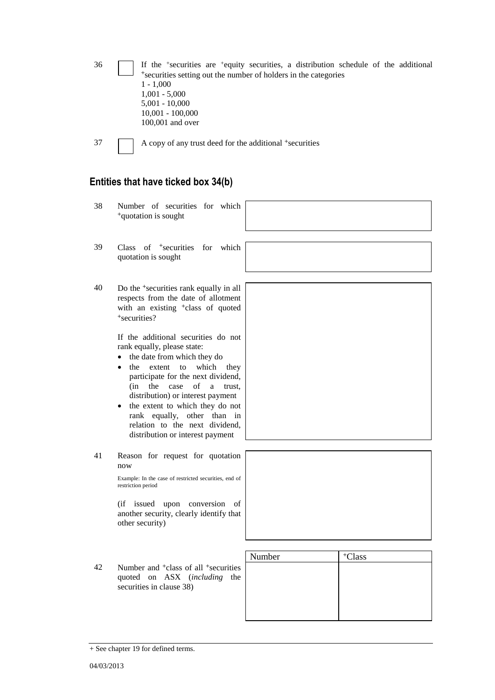| 36 | If the <sup>+</sup> securities are <sup>+</sup> equity securities, a distribution schedule of the additional |
|----|--------------------------------------------------------------------------------------------------------------|
|    | *securities setting out the number of holders in the categories                                              |
|    | $1 - 1.000$                                                                                                  |
|    | $1,001 - 5,000$                                                                                              |
|    | $5,001 - 10,000$                                                                                             |
|    | $10,001 - 100,000$                                                                                           |
|    | $100,001$ and over                                                                                           |
|    |                                                                                                              |

37 A copy of any trust deed for the additional +securities

## **Entities that have ticked box 34(b)**

| 38 | Number of securities for which<br><sup>+</sup> quotation is sought                                                                                                                                                                                                                                                                                                                                          |        |                    |
|----|-------------------------------------------------------------------------------------------------------------------------------------------------------------------------------------------------------------------------------------------------------------------------------------------------------------------------------------------------------------------------------------------------------------|--------|--------------------|
| 39 | Class of <sup>+</sup> securities for which<br>quotation is sought                                                                                                                                                                                                                                                                                                                                           |        |                    |
| 40 | Do the <sup>+</sup> securities rank equally in all<br>respects from the date of allotment<br>with an existing <sup>+</sup> class of quoted<br>+securities?                                                                                                                                                                                                                                                  |        |                    |
|    | If the additional securities do not<br>rank equally, please state:<br>the date from which they do<br>$\bullet$<br>extent to which they<br>the<br>participate for the next dividend,<br>(in<br>the<br>case<br>of<br>a<br>trust,<br>distribution) or interest payment<br>the extent to which they do not<br>rank equally, other than in<br>relation to the next dividend,<br>distribution or interest payment |        |                    |
| 41 | Reason for request for quotation<br>now<br>Example: In the case of restricted securities, end of<br>restriction period<br>(if issued upon conversion of<br>another security, clearly identify that<br>other security)                                                                                                                                                                                       |        |                    |
| 42 | Number and <sup>+</sup> class of all <sup>+</sup> securities<br>quoted on ASX (including<br>the<br>securities in clause 38)                                                                                                                                                                                                                                                                                 | Number | <sup>+</sup> Class |

<sup>+</sup> See chapter 19 for defined terms.